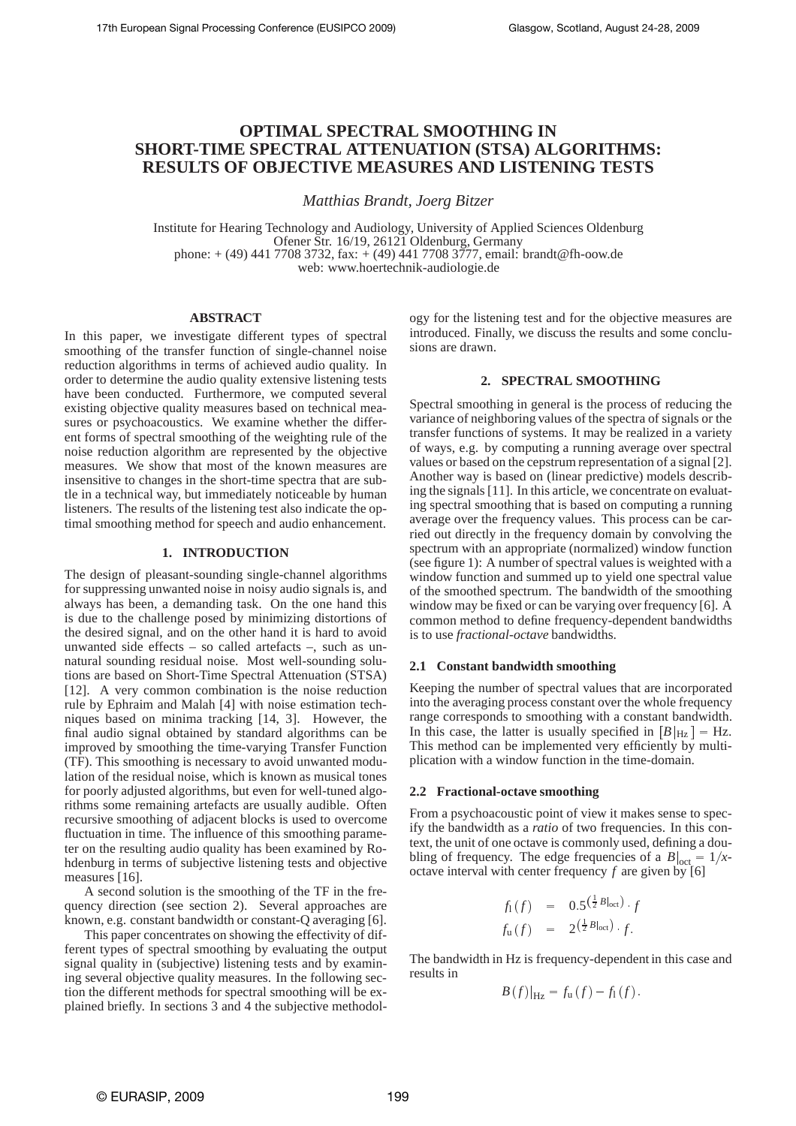# **OPTIMAL SPECTRAL SMOOTHING IN SHORT-TIME SPECTRAL ATTENUATION (STSA) ALGORITHMS: RESULTS OF OBJECTIVE MEASURES AND LISTENING TESTS**

*Matthias Brandt, Joerg Bitzer*

Institute for Hearing Technology and Audiology, University of Applied Sciences Oldenburg Ofener Str. 16/19, 26121 Oldenburg, Germany phone:  $+$  (49) 441 7708 3732, fax:  $+$  (49) 441 7708 3777, email: brandt@fh-oow.de web: www.hoertechnik-audiologie.de

#### **ABSTRACT**

In this paper, we investigate different types of spectral smoothing of the transfer function of single-channel noise reduction algorithms in terms of achieved audio quality. In order to determine the audio quality extensive listening tests have been conducted. Furthermore, we computed several existing objective quality measures based on technical measures or psychoacoustics. We examine whether the different forms of spectral smoothing of the weighting rule of the noise reduction algorithm are represented by the objective measures. We show that most of the known measures are insensitive to changes in the short-time spectra that are subtle in a technical way, but immediately noticeable by human listeners. The results of the listening test also indicate the optimal smoothing method for speech and audio enhancement.

## **1. INTRODUCTION**

The design of pleasant-sounding single-channel algorithms for suppressing unwanted noise in noisy audio signals is, and always has been, a demanding task. On the one hand this is due to the challenge posed by minimizing distortions of the desired signal, and on the other hand it is hard to avoid unwanted side effects – so called artefacts –, such as unnatural sounding residual noise. Most well-sounding solutions are based on Short-Time Spectral Attenuation (STSA) [12]. A very common combination is the noise reduction rule by Ephraim and Malah [4] with noise estimation techniques based on minima tracking [14, 3]. However, the final audio signal obtained by standard algorithms can be improved by smoothing the time-varying Transfer Function (TF). This smoothing is necessary to avoid unwanted modulation of the residual noise, which is known as musical tones for poorly adjusted algorithms, but even for well-tuned algorithms some remaining artefacts are usually audible. Often recursive smoothing of adjacent blocks is used to overcome fluctuation in time. The influence of this smoothing parameter on the resulting audio quality has been examined by Rohdenburg in terms of subjective listening tests and objective measures [16].

A second solution is the smoothing of the TF in the frequency direction (see section 2). Several approaches are known, e.g. constant bandwidth or constant-Q averaging [6].

This paper concentrates on showing the effectivity of different types of spectral smoothing by evaluating the output signal quality in (subjective) listening tests and by examining several objective quality measures. In the following section the different methods for spectral smoothing will be explained briefly. In sections 3 and 4 the subjective methodology for the listening test and for the objective measures are introduced. Finally, we discuss the results and some conclusions are drawn.

## **2. SPECTRAL SMOOTHING**

Spectral smoothing in general is the process of reducing the variance of neighboring values of the spectra of signals or the transfer functions of systems. It may be realized in a variety of ways, e.g. by computing a running average over spectral values or based on the cepstrum representation of a signal [2]. Another way is based on (linear predictive) models describing the signals [11]. In this article, we concentrate on evaluating spectral smoothing that is based on computing a running average over the frequency values. This process can be carried out directly in the frequency domain by convolving the spectrum with an appropriate (normalized) window function (see figure 1): A number of spectral values is weighted with a window function and summed up to yield one spectral value of the smoothed spectrum. The bandwidth of the smoothing window may be fixed or can be varying over frequency [6]. A common method to define frequency-dependent bandwidths is to use *fractional-octave* bandwidths.

#### **2.1 Constant bandwidth smoothing**

Keeping the number of spectral values that are incorporated into the averaging process constant over the whole frequency range corresponds to smoothing with a constant bandwidth. In this case, the latter is usually specified in  $\left[\frac{B}{Hz}\right] = \text{Hz}$ . This method can be implemented very efficiently by multiplication with a window function in the time-domain.

#### **2.2 Fractional-octave smoothing**

From a psychoacoustic point of view it makes sense to specify the bandwidth as a *ratio* of two frequencies. In this context, the unit of one octave is commonly used, defining a doubling of frequency. The edge frequencies of a  $B|_{\text{oct}} = 1/x$ octave interval with center frequency  $f$  are given by [6]

$$
f_1(f) = 0.5^{\left(\frac{1}{2}B_{\text{lost}}\right)} f
$$
  

$$
f_{\text{u}}(f) = 2^{\left(\frac{1}{2}B_{\text{lost}}\right)} f.
$$

The bandwidth in Hz is frequency-dependent in this case and results in

$$
B(f)|_{\text{Hz}} = f_{\text{u}}(f) - f_{1}(f).
$$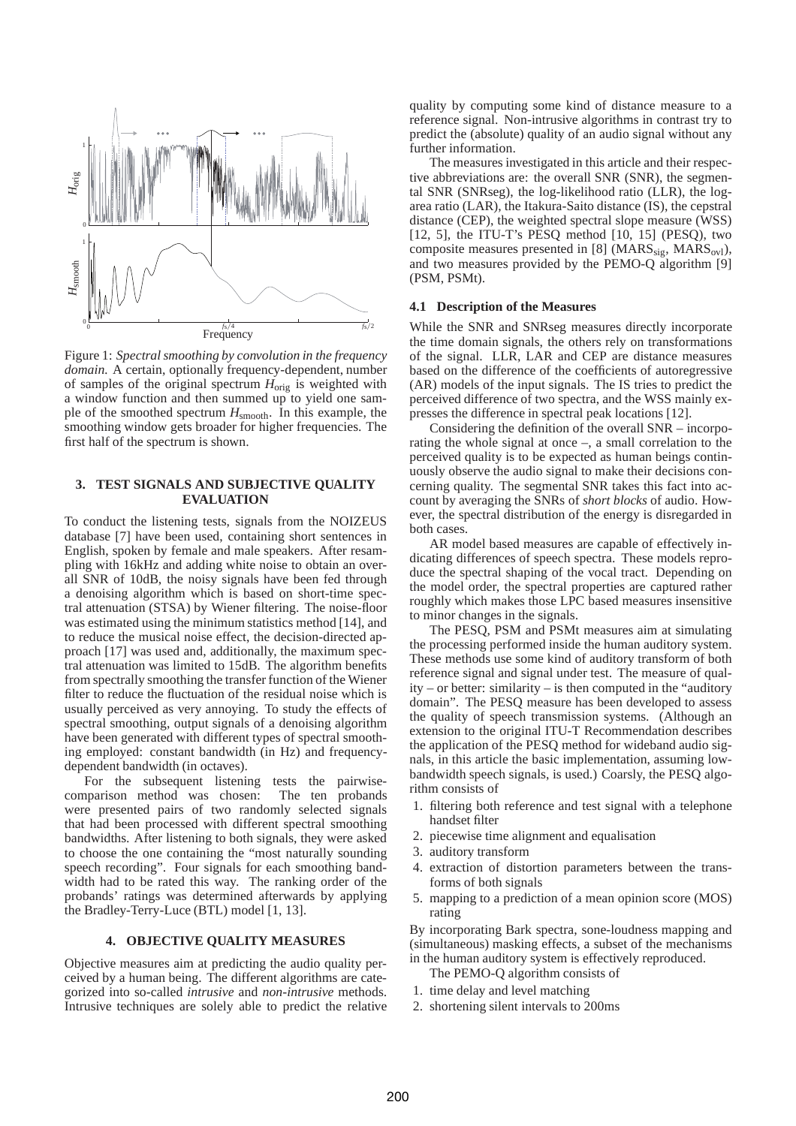

Figure 1: *Spectral smoothing by convolution in the frequency domain.* A certain, optionally frequency-dependent, number of samples of the original spectrum *H*orig is weighted with a window function and then summed up to yield one sample of the smoothed spectrum *H*smooth. In this example, the smoothing window gets broader for higher frequencies. The first half of the spectrum is shown.

## **3. TEST SIGNALS AND SUBJECTIVE QUALITY EVALUATION**

To conduct the listening tests, signals from the NOIZEUS database [7] have been used, containing short sentences in English, spoken by female and male speakers. After resampling with 16kHz and adding white noise to obtain an overall SNR of 10dB, the noisy signals have been fed through a denoising algorithm which is based on short-time spectral attenuation (STSA) by Wiener filtering. The noise-floor was estimated using the minimum statistics method [14], and to reduce the musical noise effect, the decision-directed approach [17] was used and, additionally, the maximum spectral attenuation was limited to 15dB. The algorithm benefits from spectrally smoothing the transfer function of the Wiener filter to reduce the fluctuation of the residual noise which is usually perceived as very annoying. To study the effects of spectral smoothing, output signals of a denoising algorithm have been generated with different types of spectral smoothing employed: constant bandwidth (in Hz) and frequencydependent bandwidth (in octaves).

For the subsequent listening tests the pairwisecomparison method was chosen: The ten probands were presented pairs of two randomly selected signals that had been processed with different spectral smoothing bandwidths. After listening to both signals, they were asked to choose the one containing the "most naturally sounding speech recording". Four signals for each smoothing bandwidth had to be rated this way. The ranking order of the probands' ratings was determined afterwards by applying the Bradley-Terry-Luce (BTL) model [1, 13].

## **4. OBJECTIVE QUALITY MEASURES**

Objective measures aim at predicting the audio quality perceived by a human being. The different algorithms are categorized into so-called *intrusive* and *non-intrusive* methods. Intrusive techniques are solely able to predict the relative quality by computing some kind of distance measure to a reference signal. Non-intrusive algorithms in contrast try to predict the (absolute) quality of an audio signal without any further information.

The measures investigated in this article and their respective abbreviations are: the overall SNR (SNR), the segmental SNR (SNRseg), the log-likelihood ratio (LLR), the logarea ratio (LAR), the Itakura-Saito distance (IS), the cepstral distance (CEP), the weighted spectral slope measure (WSS) [12, 5], the ITU-T's PESQ method [10, 15] (PESQ), two composite measures presented in [8] ( $MARS<sub>sig</sub>$ ,  $MARS<sub>ovl</sub>$ ), and two measures provided by the PEMO-Q algorithm [9] (PSM, PSMt).

#### **4.1 Description of the Measures**

While the SNR and SNRseg measures directly incorporate the time domain signals, the others rely on transformations of the signal. LLR, LAR and CEP are distance measures based on the difference of the coefficients of autoregressive (AR) models of the input signals. The IS tries to predict the perceived difference of two spectra, and the WSS mainly expresses the difference in spectral peak locations [12].

Considering the definition of the overall SNR – incorporating the whole signal at once –, a small correlation to the perceived quality is to be expected as human beings continuously observe the audio signal to make their decisions concerning quality. The segmental SNR takes this fact into account by averaging the SNRs of *short blocks* of audio. However, the spectral distribution of the energy is disregarded in both cases.

AR model based measures are capable of effectively indicating differences of speech spectra. These models reproduce the spectral shaping of the vocal tract. Depending on the model order, the spectral properties are captured rather roughly which makes those LPC based measures insensitive to minor changes in the signals.

The PESQ, PSM and PSMt measures aim at simulating the processing performed inside the human auditory system. These methods use some kind of auditory transform of both reference signal and signal under test. The measure of quality – or better: similarity – is then computed in the "auditory domain". The PESQ measure has been developed to assess the quality of speech transmission systems. (Although an extension to the original ITU-T Recommendation describes the application of the PESQ method for wideband audio signals, in this article the basic implementation, assuming lowbandwidth speech signals, is used.) Coarsly, the PESQ algorithm consists of

- 1. filtering both reference and test signal with a telephone handset filter
- 2. piecewise time alignment and equalisation
- 3. auditory transform
- 4. extraction of distortion parameters between the transforms of both signals
- 5. mapping to a prediction of a mean opinion score (MOS) rating

By incorporating Bark spectra, sone-loudness mapping and (simultaneous) masking effects, a subset of the mechanisms in the human auditory system is effectively reproduced.

The PEMO-Q algorithm consists of

- 1. time delay and level matching
- 2. shortening silent intervals to 200ms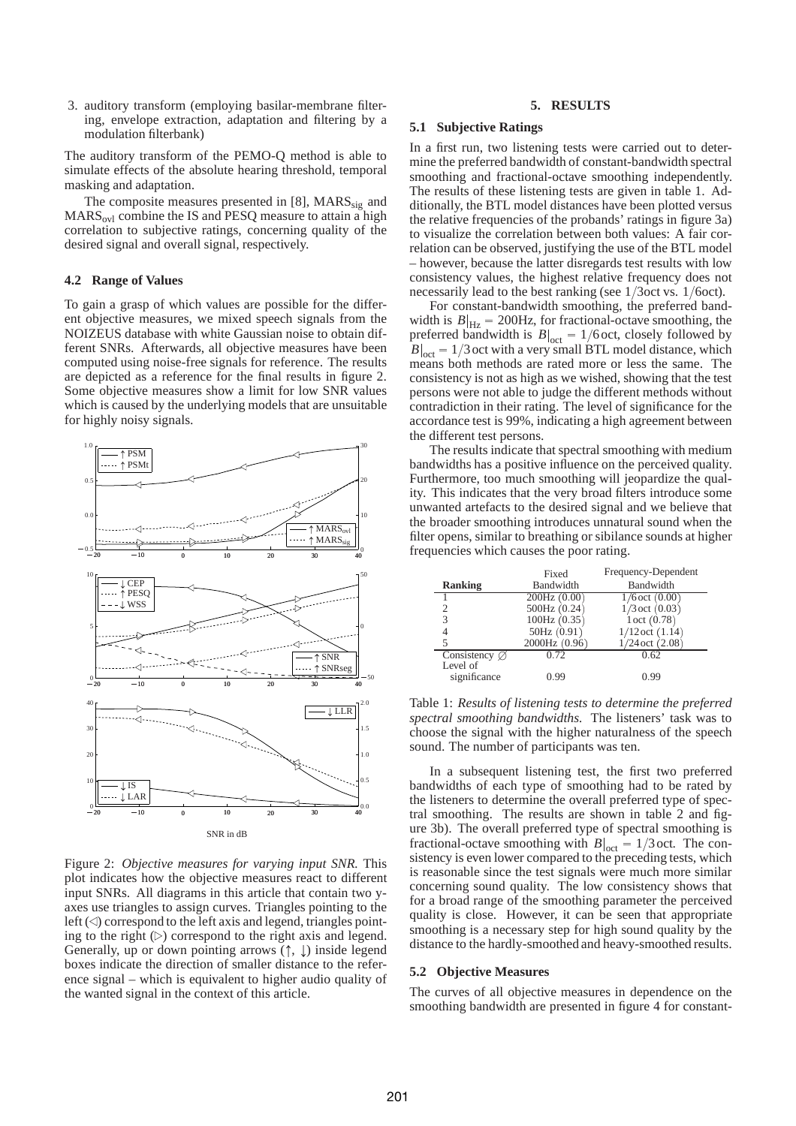3. auditory transform (employing basilar-membrane filtering, envelope extraction, adaptation and filtering by a modulation filterbank)

The auditory transform of the PEMO-Q method is able to simulate effects of the absolute hearing threshold, temporal masking and adaptation.

The composite measures presented in  $[8]$ , MARS<sub>sig</sub> and  $MARS<sub>ovl</sub>$  combine the IS and PESQ measure to attain a high correlation to subjective ratings, concerning quality of the desired signal and overall signal, respectively.

## **4.2 Range of Values**

To gain a grasp of which values are possible for the different objective measures, we mixed speech signals from the NOIZEUS database with white Gaussian noise to obtain different SNRs. Afterwards, all objective measures have been computed using noise-free signals for reference. The results are depicted as a reference for the final results in figure 2. Some objective measures show a limit for low SNR values which is caused by the underlying models that are unsuitable for highly noisy signals.



Figure 2: *Objective measures for varying input SNR.* This plot indicates how the objective measures react to different input SNRs. All diagrams in this article that contain two yaxes use triangles to assign curves. Triangles pointing to the left ( ) correspond to the left axis and legend, triangles pointing to the right  $(\triangleright)$  correspond to the right axis and legend. Generally, up or down pointing arrows  $(†, \downarrow)$  inside legend boxes indicate the direction of smaller distance to the reference signal – which is equivalent to higher audio quality of the wanted signal in the context of this article.

## **5. RESULTS**

## **5.1 Subjective Ratings**

In a first run, two listening tests were carried out to determine the preferred bandwidth of constant-bandwidth spectral smoothing and fractional-octave smoothing independently. The results of these listening tests are given in table 1. Additionally, the BTL model distances have been plotted versus the relative frequencies of the probands' ratings in figure 3a) to visualize the correlation between both values: A fair correlation can be observed, justifying the use of the BTL model – however, because the latter disregards test results with low consistency values, the highest relative frequency does not necessarily lead to the best ranking (see  $1/3$ oct vs.  $1/6$ oct).

For constant-bandwidth smoothing, the preferred bandwidth is  $B|_{\text{Hz}} = 200 \text{Hz}$ , for fractional-octave smoothing, the preferred bandwidth is  $B|_{\text{oct}} = 1/6$  oct, closely followed by  $B|_{\text{oct}} = 1/3$  oct with a very small BTL model distance, which means both methods are rated more or less the same. The consistency is not as high as we wished, showing that the test persons were not able to judge the different methods without contradiction in their rating. The level of significance for the accordance test is 99%, indicating a high agreement between the different test persons.

The results indicate that spectral smoothing with medium bandwidths has a positive influence on the perceived quality. Furthermore, too much smoothing will jeopardize the quality. This indicates that the very broad filters introduce some unwanted artefacts to the desired signal and we believe that the broader smoothing introduces unnatural sound when the filter opens, similar to breathing or sibilance sounds at higher frequencies which causes the poor rating.

|                           | Fixed         | Frequency-Dependent |
|---------------------------|---------------|---------------------|
| <b>Ranking</b>            | Bandwidth     | Bandwidth           |
|                           | 200Hz(0.00)   | $1/6$ oct $(0.00)$  |
|                           | 500Hz(0.24)   | $1/3$ oct $(0.03)$  |
| 3                         | 100Hz(0.35)   | 1 oct (0.78)        |
| 4                         | 50Hz(0.91)    | $1/12$ oct $(1.14)$ |
| 5                         | 2000Hz (0.96) | $1/24$ oct $(2.08)$ |
| Consistency $\varnothing$ | 0.72          | 0.62                |
| Level of                  |               |                     |
| significance              | 0.99          | 0.99                |

Table 1: *Results of listening tests to determine the preferred spectral smoothing bandwidths.* The listeners' task was to choose the signal with the higher naturalness of the speech sound. The number of participants was ten.

In a subsequent listening test, the first two preferred bandwidths of each type of smoothing had to be rated by the listeners to determine the overall preferred type of spectral smoothing. The results are shown in table 2 and figure 3b). The overall preferred type of spectral smoothing is fractional-octave smoothing with  $B|_{\text{oct}} = 1/3$  oct. The consistency is even lower compared to the preceding tests, which is reasonable since the test signals were much more similar concerning sound quality. The low consistency shows that for a broad range of the smoothing parameter the perceived quality is close. However, it can be seen that appropriate smoothing is a necessary step for high sound quality by the distance to the hardly-smoothed and heavy-smoothed results.

## **5.2 Objective Measures**

The curves of all objective measures in dependence on the smoothing bandwidth are presented in figure 4 for constant-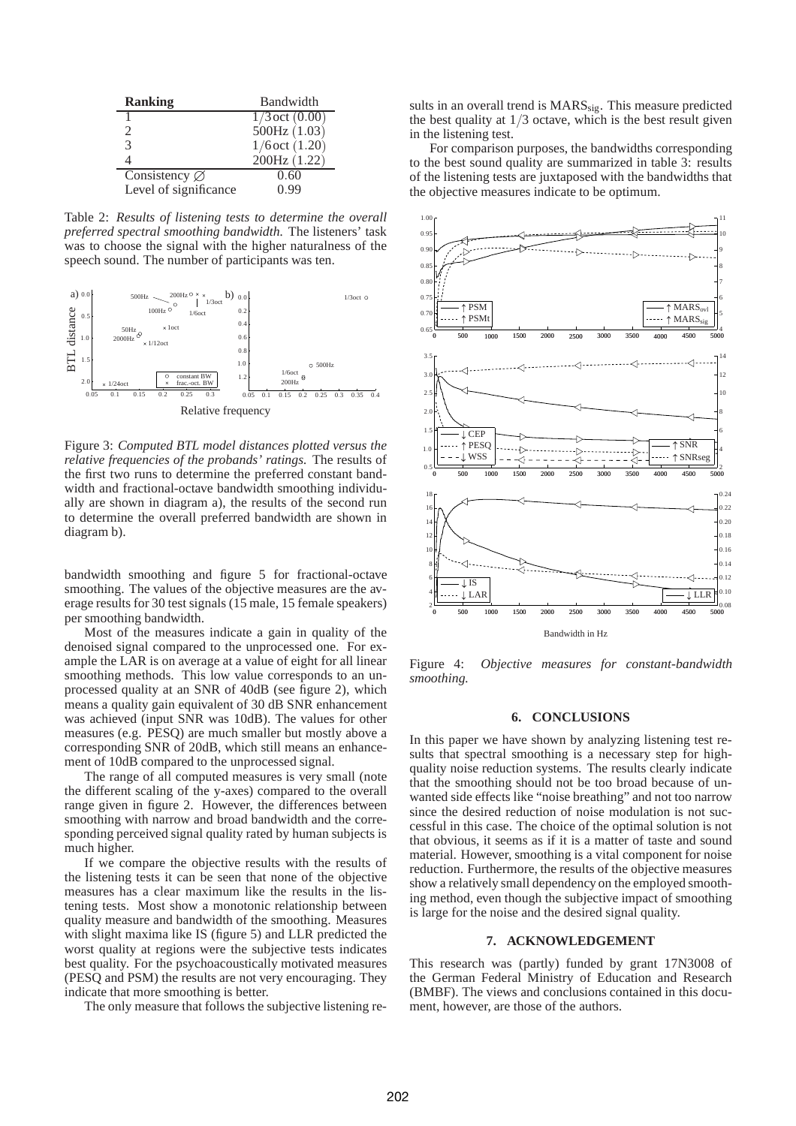| <b>Ranking</b>            | Bandwidth          |  |  |  |  |  |
|---------------------------|--------------------|--|--|--|--|--|
|                           | $1/3$ oct $(0.00)$ |  |  |  |  |  |
| $\mathcal{L}$             | 500Hz (1.03)       |  |  |  |  |  |
| 3                         | $1/6$ oct $(1.20)$ |  |  |  |  |  |
|                           | 200Hz (1.22)       |  |  |  |  |  |
| Consistency $\varnothing$ | 0.60               |  |  |  |  |  |
| Level of significance     | 0.99               |  |  |  |  |  |

Table 2: Results of listening tests to determine the overall preferred spectral smoothing bandwidth. The listeners' task was to choose the signal with the higher naturalness of the speech sound. The number of participants was ten.



Figure 3: Computed BTL model distances plotted versus the *relative frequencies of the probands' ratings.* The results of the first two runs to determine the preferred constant bandwidth and fractional-octave bandwidth smoothing individually are shown in diagram a), the results of the second run to determine the overall preferred bandwidth are shown in diagram b).

bandwidth smoothing and figure 5 for fractional-octave smoothing. The values of the objective measures are the average results for 30 test signals (15 male, 15 female speakers) per smoothing bandwidth.

Most of the measures indicate a gain in quality of the denoised signal compared to the unprocessed one. For example the LAR is on average at a value of eight for all linear smoothing methods. This low value corresponds to an unprocessed quality at an SNR of 40dB (see figure 2), which means a quality gain equivalent of 30 dB SNR enhancement was achieved (input SNR was 10dB). The values for other measures (e.g. PESQ) are much smaller but mostly above a corresponding SNR of 20dB, which still means an enhancement of 10dB compared to the unprocessed signal.

The range of all computed measures is very small (note the different scaling of the y-axes) compared to the overall range given in figure 2. However, the differences between smoothing with narrow and broad bandwidth and the corresponding perceived signal quality rated by human subjects is much higher.

If we compare the objective results with the results of the listening tests it can be seen that none of the objective measures has a clear maximum like the results in the listening tests. Most show a monotonic relationship between quality measure and bandwidth of the smoothing. Measures with slight maxima like IS (figure 5) and LLR predicted the worst quality at regions were the subjective tests indicates best quality. For the psychoacoustically motivated measures (PESQ and PSM) the results are not very encouraging. They indicate that more smoothing is better.

The only measure that follows the subjective listening re-

sults in an overall trend is MARS<sub>sig</sub>. This measure predicted the best quality at  $1/3$  octave, which is the best result given in the listening test.

For comparison purposes, the bandwidths corresponding to the best sound quality are summarized in table 3: results of the listening tests are juxtaposed with the bandwidths that the objective measures indicate to be optimum.



Figure 4: *Objective measures for constant-bandwidth smoothing.*

#### **6. CONCLUSIONS**

In this paper we have shown by analyzing listening test results that spectral smoothing is a necessary step for highquality noise reduction systems. The results clearly indicate that the smoothing should not be too broad because of unwanted side effects like "noise breathing" and not too narrow since the desired reduction of noise modulation is not successful in this case. The choice of the optimal solution is not that obvious, it seems as if it is a matter of taste and sound material. However, smoothing is a vital component for noise reduction. Furthermore, the results of the objective measures show a relatively small dependency on the employed smoothing method, even though the subjective impact of smoothing is large for the noise and the desired signal quality.

#### **7. ACKNOWLEDGEMENT**

This research was (partly) funded by grant 17N3008 of the German Federal Ministry of Education and Research (BMBF). The views and conclusions contained in this document, however, are those of the authors.